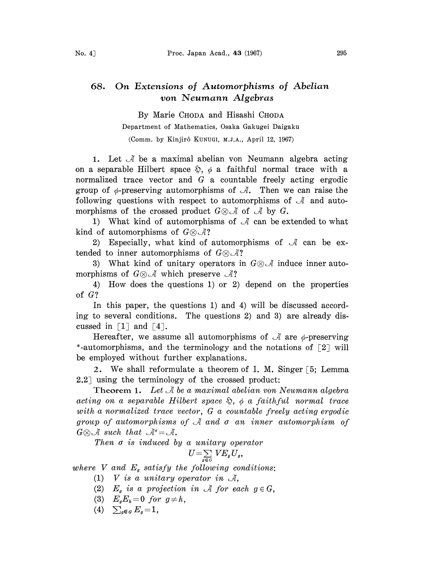## 68. On Extensions of Automorphisms of Abelian von Neumann Algebras

By Marie CHODA and Hisashi CHODA

## Department of Mathematics, Osaka Gakugei Daigaku

(Comm. by Kinjir6 KUNUGI, M.J.A., April 12, 1967)

1. Let  $\mathcal A$  be a maximal abelian von Neumann algebra acting on a separable Hilbert space  $\mathcal{D}, \phi$  a faithful normal trace with a normalized trace vector and G a countable freely acting ergodic group of  $\phi$ -preserving automorphisms of  $\mathcal{A}$ . Then we can raise the following questions with respect to automorphisms of  $\mathcal A$  and automorphisms of the crossed product  $G \otimes \mathcal{A}$  of  $\mathcal{A}$  by  $G$ .

1) What kind of automorphisms of  $\mathcal A$  can be extended to what kind of automorphisms of  $G \otimes \mathcal{A}$ ?

2) Especially, what kind of automorphisms of  $\mathcal A$  can be extended to inner automorphisms of  $G \otimes \mathcal{A}$ ?

3) What kind of unitary operators in  $G \otimes \mathcal{A}$  induce inner automorphisms of  $G \otimes \mathcal{A}$  which preserve  $\mathcal{A}$ ?

4) How does the questions 1) or 2) depend on the properties of G?

In this paper, the questions 1) and 4) will be discussed according to several conditions. The questions 2) and 3) are already discussed in  $\lceil 1 \rceil$  and  $\lceil 4 \rceil$ .

Hereafter, we assume all automorphisms of  $\mathcal A$  are  $\phi$ -preserving \*-automorphisms, and the terminology and the notations of  $\lceil 2 \rceil$  will be employed without further explanations.

2. We shall reformulate a theorem of I. M. Singer  $\lceil 5 \rceil$ : Lemma  $2.2$ ] using the terminology of the crossed product:

Theorem 1. Let  $\mathcal A$  be a maximal abelian von Neumann algebra acting on a separable Hilbert space  $\hat{\mathcal{L}}$ ,  $\phi$  a faithful normal trace with a normalized trace vector, G a countable freely acting ergodic group of automorphisms of  $\mathcal A$  and  $\sigma$  an inner automorphism of  $G \otimes \mathcal{A}$  such that  $\mathcal{A}^{\circ} = \mathcal{A}$ .

Then  $\sigma$  is induced by a unitary operator

$$
U\!=\!\!\textstyle\sum\limits_{g\in G}V\!E_gU_g,
$$

where V and  $E<sub>g</sub>$  satisfy the following conditions:

- (1) V is a unitary operator in  $\mathcal{A}$ ,
- (2)  $E_a$  is a projection in A for each  $g \in G$ ,
- (3)  $E_g E_h = 0$  for  $g \neq h$ ,
- (4)  $\sum_{g \in G} E_g = 1$ ,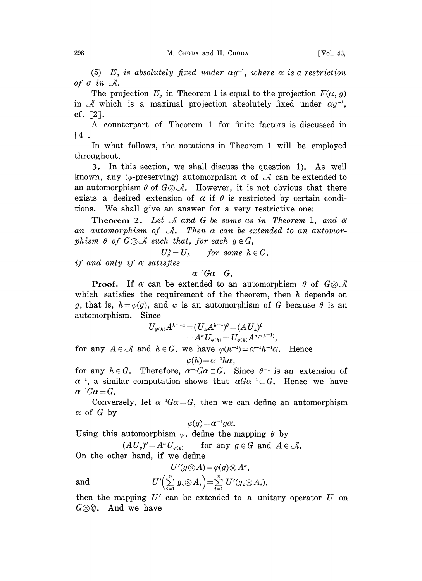(5)  $E_g$  is absolutely fixed under  $\alpha g^{-1}$ , where  $\alpha$  is a restriction of  $\sigma$  in  $\mathcal{A}$ .

The projection  $E_g$  in Theorem 1 is equal to the projection  $F(\alpha, g)$ in  $\mathcal A$  which is a maximal projection absolutely fixed under  $\alpha g^{-1}$ , cf.  $\lceil 2 \rceil$ .

A counterpart of Theorem <sup>1</sup> for finite factors is discussed in  $\lceil 4 \rceil$ .

In what follows, the notations in Theorem 1 will be employed throughout.

. In this section, we shall discuss the question 1). As well known, any ( $\phi$ -preserving) automorphism  $\alpha$  of  $\mathcal A$  can be extended to an automorphism  $\theta$  of  $G \otimes \mathcal{A}$ . However, it is not obvious that there exists a desired extension of  $\alpha$  if  $\theta$  is restricted by certain conditions. We shall give an answer for a very restrictive one:

Theorem 2. Let  $\mathcal A$  and  $G$  be same as in Theorem 1, and  $\alpha$ an automorphism of  $\mathcal{A}$ . Then  $\alpha$  can be extended to an automorphism  $\theta$  of  $G \otimes \mathcal{A}$  such that, for each  $g \in G$ ,

 $U_q^{\theta} = U_h$  for some  $h \in G$ ,

if and only if  $\alpha$  satisfies

 $\alpha^{-1}G\alpha = G$ .

**Proof.** If  $\alpha$  can be extended to an automorphism  $\theta$  of  $G \otimes \mathcal{A}$ which satisfies the requirement of the theorem, then  $h$  depends on g, that is,  $h = \varphi(g)$ , and  $\varphi$  is an automorphism of G because  $\theta$  is an automorphism. Since

$$
U_{\varphi(h)}A^{h^{-1}\alpha} = (U_hA^{h^{-1}})^{\theta} = (AU_h)^{\theta}
$$
  
=  $A^{\alpha}U_{\varphi(h)} = U_{\varphi(h)}A^{\alpha\varphi(h^{-1})}$ ,

for any  $A \in \mathcal{A}$  and  $h \in G$ , we have  $\varphi(h^{-1}) = \alpha^{-1}h^{-1}\alpha$ . Hence  $\varphi(h) = \alpha^{-1}h\alpha,$ 

for any  $h \in G$ . Therefore,  $\alpha^{-1}G\alpha \subset G$ . Since  $\theta^{-1}$  is an extension of for any  $h \in G$ . Therefore,  $\alpha^{-1}G\alpha \subset G$ . Since  $\theta^{-1}$  is an extension of  $\alpha^{-1}$ , a similar computation shows that  $\alpha G\alpha^{-1} \subset G$ . Hence we have  $\alpha^{-1}G\alpha = G$ .

Conversely, let  $\alpha^{-1}G\alpha = G$ , then we can define an automorphism  $\alpha$  of G by

$$
\varphi(g)\!=\!\alpha^{-1}g\alpha.
$$

Using this automorphism  $\varphi$ , define the mapping  $\theta$  by

 $(A U_g)^{\theta} = A^{\alpha} U_{\varphi(g)}$ for any  $g \in G$  and  $A \in \mathcal{A}$ .

On the other hand, if we define

$$
U'(g\otimes A)=\varphi(g)\otimes A^{\alpha},
$$

 $U' \Bigl( \sum_{i=1}^n \, g_i \!\otimes\! A_i \Bigr) \! = \! \sum_{i=1}^n \, U'(g_i \!\otimes\! A_i),$ 

then the mapping  $U'$  can be extended to a unitary operator  $U$  on  $G \otimes \mathfrak{D}$ . And we have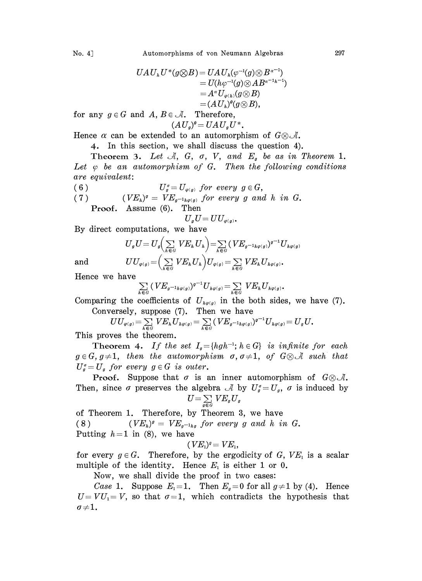$$
UAU_{\scriptscriptstyle h}U^*(g\otimes B)=UAU_{\scriptscriptstyle h}(\varphi^{-1}(g)\otimes B^{\scriptscriptstyle \alpha^{-1}})\\=U(h\varphi^{-1}(g)\otimes AB^{\scriptscriptstyle \alpha^{-1}h^{-1}})\\=A^{\scriptscriptstyle \alpha}U_{\varphi(\scriptscriptstyle h)}(g\otimes B)\\=(AU_{\scriptscriptstyle h})^{\scriptscriptstyle \theta}(g\otimes B),
$$

for any  $g \in G$  and  $A, B \in \mathcal{A}$ . Therefore,  $(A U_q)^{\theta} = U A U_q U^*.$ 

Hence  $\alpha$  can be extended to an automorphism of  $G \otimes \mathcal{A}$ .

4. In this section, we shall discuss the question 4).

Theorem 3. Let  $\mathcal{A}$ , G,  $\sigma$ , V, and  $E_g$  be as in Theorem 1. Let  $\varphi$  be an automorphism of G. Then the following conditions are equivalent:

(6)  $U_g^{\sigma} = U_{\varphi(g)}$  for every  $g \in G$ ,<br>(7)  $(VE_h)^{\sigma} = VE_{\sigma^{-1}h\varphi(g)}$  for every g and

 $(VE<sub>h</sub>)<sup>g</sup> = VE<sub>g<sup>-1</sup>_{h\varphi(g)} for every g and h in G.</sub>$ Proof. Assume (6). Then

$$
U_{g}U=UU_{\varphi(g)}.
$$

By direct computations, we have

$$
U_g U\!= U_g \Big(\sum_{h\in G} VE_h U_h\Big)\!=\! \sum_{h\in G} (VE_{g^{-1}h\varphi(g)})^{g^{-1}}U_{h\varphi(g)}
$$
 and 
$$
UU_{\varphi(g)}\!=\! \Big(\sum_{h\in G} VE_h U_h\Big)U_{\varphi(g)}\!=\! \sum_{h\in G} VE_h U_{h\varphi(g)}.
$$

Hence we have

$$
\sum_{h\in G} (VE_{g^{-1}h\varphi(g)})^{g^{-1}}U_{h\varphi(g)} = \sum_{h\in G} VE_h U_{h\varphi(g)}.
$$

 $\sum_{h \in G} (VE_{g^{-1}h\varphi(g)})^{g^{-1}}U_{h\varphi(g)} = \sum_{h \in G} VE_hU_{h\varphi(g)}.$ <br>Comparing the coefficients of  $U_{h\varphi(g)}$  in the both sides, we have (7). Conversely, suppose (7). Then we have

$$
UU_{\varphi(g)} = \sum_{h \in G} VE_h U_{h\varphi(g)} = \sum_{h \in G} (VE_{g^{-1}h\varphi(g)})^{g^{-1}} U_{h\varphi(g)} = U_g U.
$$
  
ves the theorem.

This proves the theorem.

Theorem 4. If the set  $I_q = \{hgh^{-1}; h \in G\}$  is infinite for each  $g \in G$ ,  $g\neq 1$ , then the automorphism  $\sigma$ ,  $\sigma \neq 1$ , of  $G \otimes A$  such that  $U_g^{\sigma} = U_g$  for every  $g \in G$  is outer.

**Proof.** Suppose that  $\sigma$  is an inner automorphism of  $G \otimes \mathcal{A}$ . Then, since  $\sigma$  preserves the algebra  $\mathcal A$  by  $U_g^{\sigma} = U_g$ ,  $\sigma$  is induced by  $U = \sum_{g \in G} V E_g U_g$ 

of Theorem 1. Therefore, by Theorem 3, we have (8)  $(VE_{h})^{g} = VE_{g^{-1}hg}$  for every g and h in G. Putting  $h=1$  in (8), we have

 $(VE_1)^g = VE_1,$ 

for every  $g \in G$ . Therefore, by the ergodicity of G,  $VE<sub>1</sub>$  is a scalar multiple of the identity. Hence  $E_1$  is either 1 or 0.

Now, we shall divide the proof in two cases:

Case 1. Suppose  $E_1=1$ . Then  $E<sub>g</sub>=0$  for all  $g\neq 1$  by (4). Hence  $U=VU_1=V$ , so that  $\sigma=1$ , which contradicts the hypothesis that  $\sigma{\,\neq\,}1$  .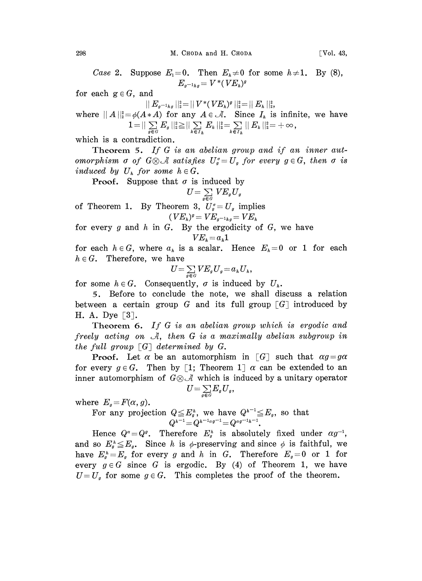Case 2. Suppose  $E_1=0$ . Then  $E_k\neq 0$  for some  $h\neq 1$ . By (8),  $E_{a^{-1}h} = V^* (VE_h)^q$ 

for each  $g \in G$ , and

$$
||E_{g^{-1}hg}||_2^2=||V^*(VE_h)^g||_2^2=||E_h||_2^2,
$$

 $\|E_{g^{-1}h g}\|_2^2 = \|V^*(VE_h)^g\|_2^2 = \|E_h\|_2^2, \ \varepsilon \neq (A*A) \text{ for any } A \in \mathcal{A}. \ \ \text{Since } I_h \text{ is } \ 1 = \|\sum_{g \in G} E_g\|_2^2 \geq \|\sum_{k \in I_h} E_k\|_2^2 = \sum_{k \in I_h} \|E_k\|_2^2 = \ \text{intraidiction}$ where  $||A||_2^2 = \phi(A \ast A)$  for any  $A \in \mathcal{A}$ . Since  $I_k$  is infinite, we have

which is a contradiction.

 $\sum_{g \in G} E_g ||_2^2 \ge || \sum_{k \in I_h} E_k ||_2^2 = \sum_{k \in I_h} || E_k ||_2^2 = +\infty,$ <br>diction.<br>If G is an abelian group and if a<br> $\mathcal{G} \otimes \mathcal{A}$  satisfies  $U_g^{\sigma} = U_g$  for every  $g \in$ Theorem 5. If G is an abelian group and if an inner automorphism  $\sigma$  of  $G \otimes \mathcal{A}$  satisfies  $U_g = U_g$  for every  $g \in G$ , then  $\sigma$  is induced by  $U_h$  for some  $h \in G$ .

**Proof.** Suppose that  $\sigma$  is induced by

$$
U\!=\!\textstyle\sum\limits_{g\in G}V\!E_gU_g
$$

of Theorem 1. By Theorem 3,  $U_g = U_g$  implies

 $VE_{h})^{g} = V E_{g^{-1}hg} = V E_{h}$ <br>By the ergodicity for every g and h in G. By the ergodicity of G, we have  $VE_{h} = a_{h}1$ 

for each  $h \in G$ , where  $a_h$  is a scalar. Hence  $E_h = 0$  or 1 for each  $h \in G$ . Therefore, we have

$$
U = \sum_{g \in G} VE_g U_g = a_h U_h,
$$

for some  $h \in G$ . Consequently,  $\sigma$  is induced by  $U_h$ .

5. Before to conclude the note, we shall discuss a relation between a certain group G and its full group  $\lceil G \rceil$  introduced by H. A. Dye  $\lceil 3 \rceil$ .

Theorem 6. If G is an abelian group which is ergodic and freely acting on  $A$ , then G is a maximally abelian subgroup in the full group  $\lceil G \rceil$  determined by G.

**Proof.** Let  $\alpha$  be an automorphism in  $\lceil G \rceil$  such that  $\alpha g = g\alpha$ for every  $g \in G$ . Then by [1; Theorem 1]  $\alpha$  can be extended to an inner automorphism of  $G \otimes \mathcal{A}$  which is induced by a unitary operator

$$
U\!=\!\textstyle\sum\limits_{g\in G}\!E_gU_g
$$

where  $E_q = F(\alpha, g)$ .

For any projection  $Q \leq E_g^h$ , we have  $Q^{h^{-1}} \leq E_g$ , so that  $Q^{h^{-1}} = Q^{h^{-1} \alpha g^{-1}} = Q^{\alpha g^{-1} h^{-1}}$ .

Hence  $Q^{\alpha} = Q^{\beta}$ . Therefore  $E_{g}^{h}$  is absolutely fixed under  $\alpha g^{-1}$ , and so  $E_q^h \leq E_q$ . Since h is  $\phi$ -preserving and since  $\phi$  is faithful, we have  $E_a^h = E_a$  for every g and h in G. Therefore  $E_a = 0$  or 1 for every  $g \in G$  since G is ergodic. By (4) of Theorem 1, we have  $U=U_q$  for some  $g\in G$ . This completes the proof of the theorem.